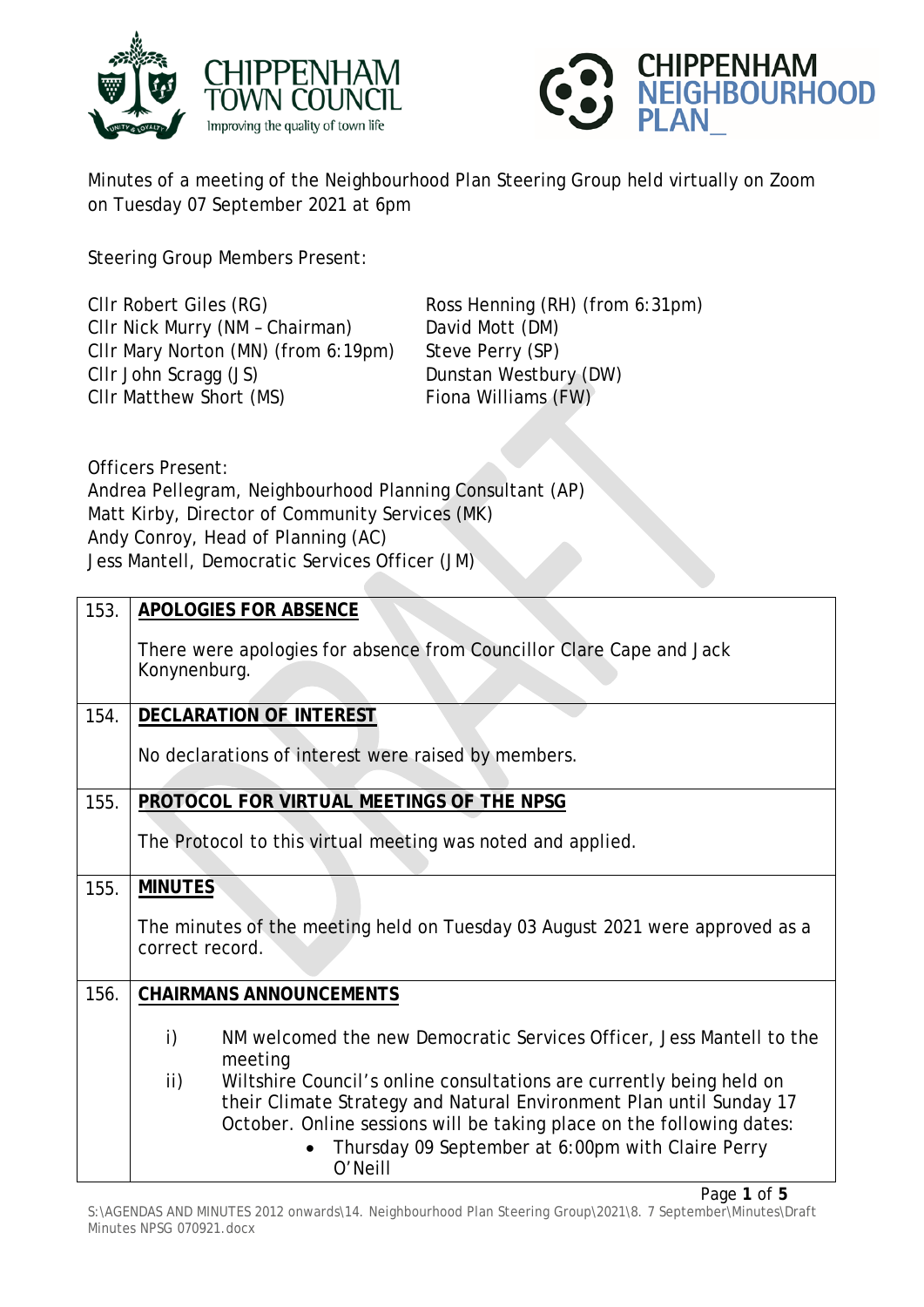



Minutes of a meeting of the Neighbourhood Plan Steering Group held virtually on Zoom on Tuesday 07 September 2021 at 6pm

Steering Group Members Present:

Cllr Robert Giles (RG) Ross Henning (RH) (from 6:31pm) Cllr Nick Murry (NM – Chairman) David Mott (DM) Cllr Mary Norton (MN) (from 6:19pm) Steve Perry (SP) Cllr John Scragg (JS) Dunstan Westbury (DW) Cllr Matthew Short (MS) Fiona Williams (FW)

Officers Present: Andrea Pellegram, Neighbourhood Planning Consultant (AP) Matt Kirby, Director of Community Services (MK) Andy Conroy, Head of Planning (AC) Jess Mantell, Democratic Services Officer (JM)

| 153. | <b>APOLOGIES FOR ABSENCE</b>                                                                                                                                                                                                                                                                |
|------|---------------------------------------------------------------------------------------------------------------------------------------------------------------------------------------------------------------------------------------------------------------------------------------------|
|      | There were apologies for absence from Councillor Clare Cape and Jack<br>Konynenburg.                                                                                                                                                                                                        |
| 154. | <b>DECLARATION OF INTEREST</b>                                                                                                                                                                                                                                                              |
|      | No declarations of interest were raised by members.                                                                                                                                                                                                                                         |
| 155. | PROTOCOL FOR VIRTUAL MEETINGS OF THE NPSG                                                                                                                                                                                                                                                   |
|      | The Protocol to this virtual meeting was noted and applied.                                                                                                                                                                                                                                 |
| 155. | <b>MINUTES</b>                                                                                                                                                                                                                                                                              |
|      | The minutes of the meeting held on Tuesday 03 August 2021 were approved as a<br>correct record.                                                                                                                                                                                             |
| 156. | <b>CHAIRMANS ANNOUNCEMENTS</b>                                                                                                                                                                                                                                                              |
|      | i)<br>NM welcomed the new Democratic Services Officer, Jess Mantell to the<br>meeting                                                                                                                                                                                                       |
|      | ii)<br>Wiltshire Council's online consultations are currently being held on<br>their Climate Strategy and Natural Environment Plan until Sunday 17<br>October. Online sessions will be taking place on the following dates:<br>Thursday 09 September at 6:00pm with Claire Perry<br>O'Neill |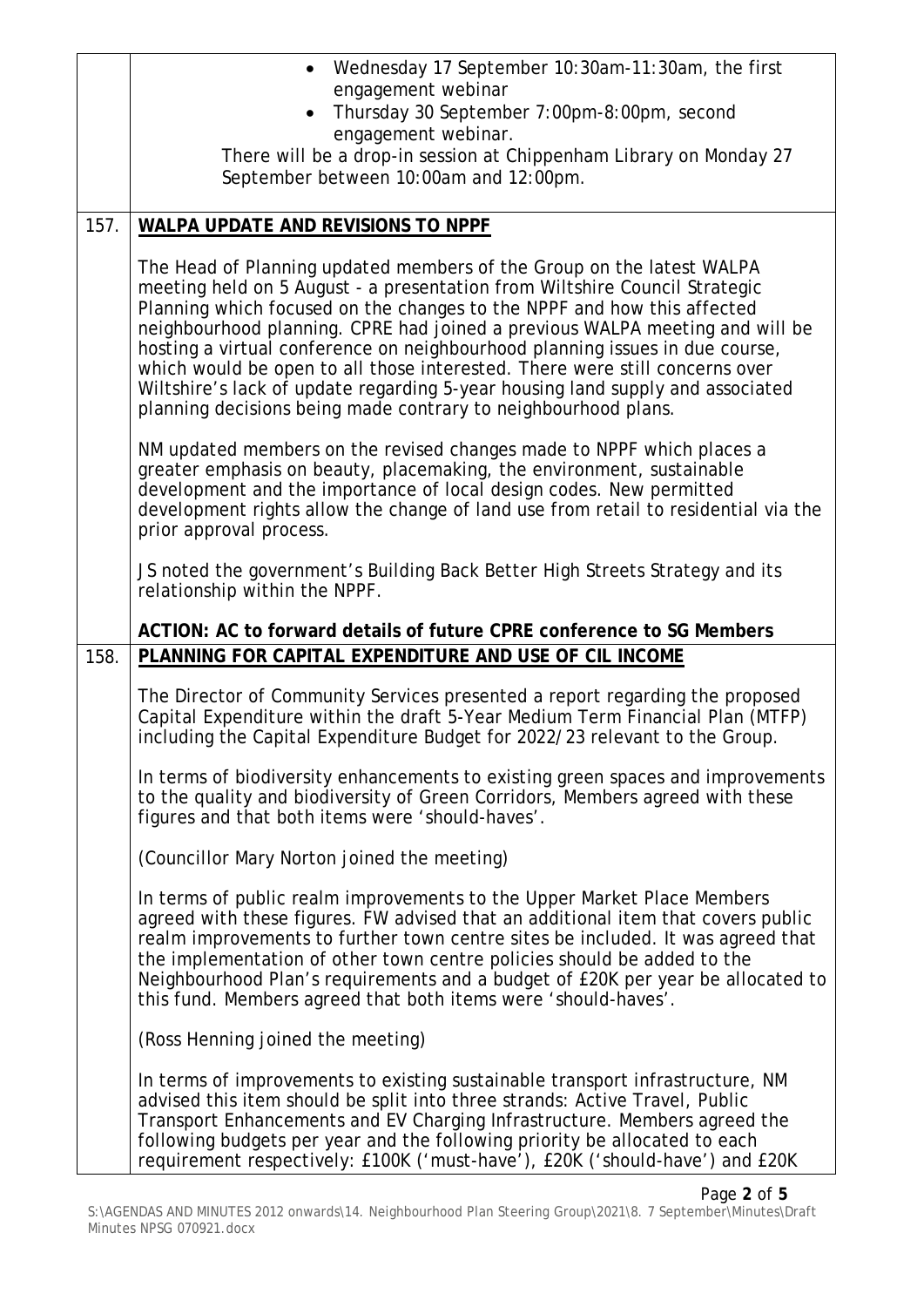|      | • Wednesday 17 September 10:30am-11:30am, the first<br>engagement webinar                                                                                                                                                                                                                                                                                                                                                                                                                                                                                                                                                         |
|------|-----------------------------------------------------------------------------------------------------------------------------------------------------------------------------------------------------------------------------------------------------------------------------------------------------------------------------------------------------------------------------------------------------------------------------------------------------------------------------------------------------------------------------------------------------------------------------------------------------------------------------------|
|      | Thursday 30 September 7:00pm-8:00pm, second<br>engagement webinar.                                                                                                                                                                                                                                                                                                                                                                                                                                                                                                                                                                |
|      | There will be a drop-in session at Chippenham Library on Monday 27<br>September between 10:00am and 12:00pm.                                                                                                                                                                                                                                                                                                                                                                                                                                                                                                                      |
| 157. | WALPA UPDATE AND REVISIONS TO NPPF                                                                                                                                                                                                                                                                                                                                                                                                                                                                                                                                                                                                |
|      | The Head of Planning updated members of the Group on the latest WALPA<br>meeting held on 5 August - a presentation from Wiltshire Council Strategic<br>Planning which focused on the changes to the NPPF and how this affected<br>neighbourhood planning. CPRE had joined a previous WALPA meeting and will be<br>hosting a virtual conference on neighbourhood planning issues in due course,<br>which would be open to all those interested. There were still concerns over<br>Wiltshire's lack of update regarding 5-year housing land supply and associated<br>planning decisions being made contrary to neighbourhood plans. |
|      | NM updated members on the revised changes made to NPPF which places a<br>greater emphasis on beauty, placemaking, the environment, sustainable<br>development and the importance of local design codes. New permitted<br>development rights allow the change of land use from retail to residential via the<br>prior approval process.                                                                                                                                                                                                                                                                                            |
|      | JS noted the government's Building Back Better High Streets Strategy and its<br>relationship within the NPPF.                                                                                                                                                                                                                                                                                                                                                                                                                                                                                                                     |
|      | ACTION: AC to forward details of future CPRE conference to SG Members                                                                                                                                                                                                                                                                                                                                                                                                                                                                                                                                                             |
| 158. | PLANNING FOR CAPITAL EXPENDITURE AND USE OF CIL INCOME                                                                                                                                                                                                                                                                                                                                                                                                                                                                                                                                                                            |
|      | The Director of Community Services presented a report regarding the proposed<br>Capital Expenditure within the draft 5-Year Medium Term Financial Plan (MTFP)<br>including the Capital Expenditure Budget for 2022/23 relevant to the Group.                                                                                                                                                                                                                                                                                                                                                                                      |
|      | In terms of biodiversity enhancements to existing green spaces and improvements<br>to the quality and biodiversity of Green Corridors, Members agreed with these<br>figures and that both items were 'should-haves'.                                                                                                                                                                                                                                                                                                                                                                                                              |
|      | (Councillor Mary Norton joined the meeting)                                                                                                                                                                                                                                                                                                                                                                                                                                                                                                                                                                                       |
|      | In terms of public realm improvements to the Upper Market Place Members<br>agreed with these figures. FW advised that an additional item that covers public<br>realm improvements to further town centre sites be included. It was agreed that<br>the implementation of other town centre policies should be added to the<br>Neighbourhood Plan's requirements and a budget of £20K per year be allocated to<br>this fund. Members agreed that both items were 'should-haves'.                                                                                                                                                    |
|      | (Ross Henning joined the meeting)                                                                                                                                                                                                                                                                                                                                                                                                                                                                                                                                                                                                 |
|      | In terms of improvements to existing sustainable transport infrastructure, NM<br>advised this item should be split into three strands: Active Travel, Public<br>Transport Enhancements and EV Charging Infrastructure. Members agreed the<br>following budgets per year and the following priority be allocated to each<br>requirement respectively: £100K ('must-have'), £20K ('should-have') and £20K                                                                                                                                                                                                                           |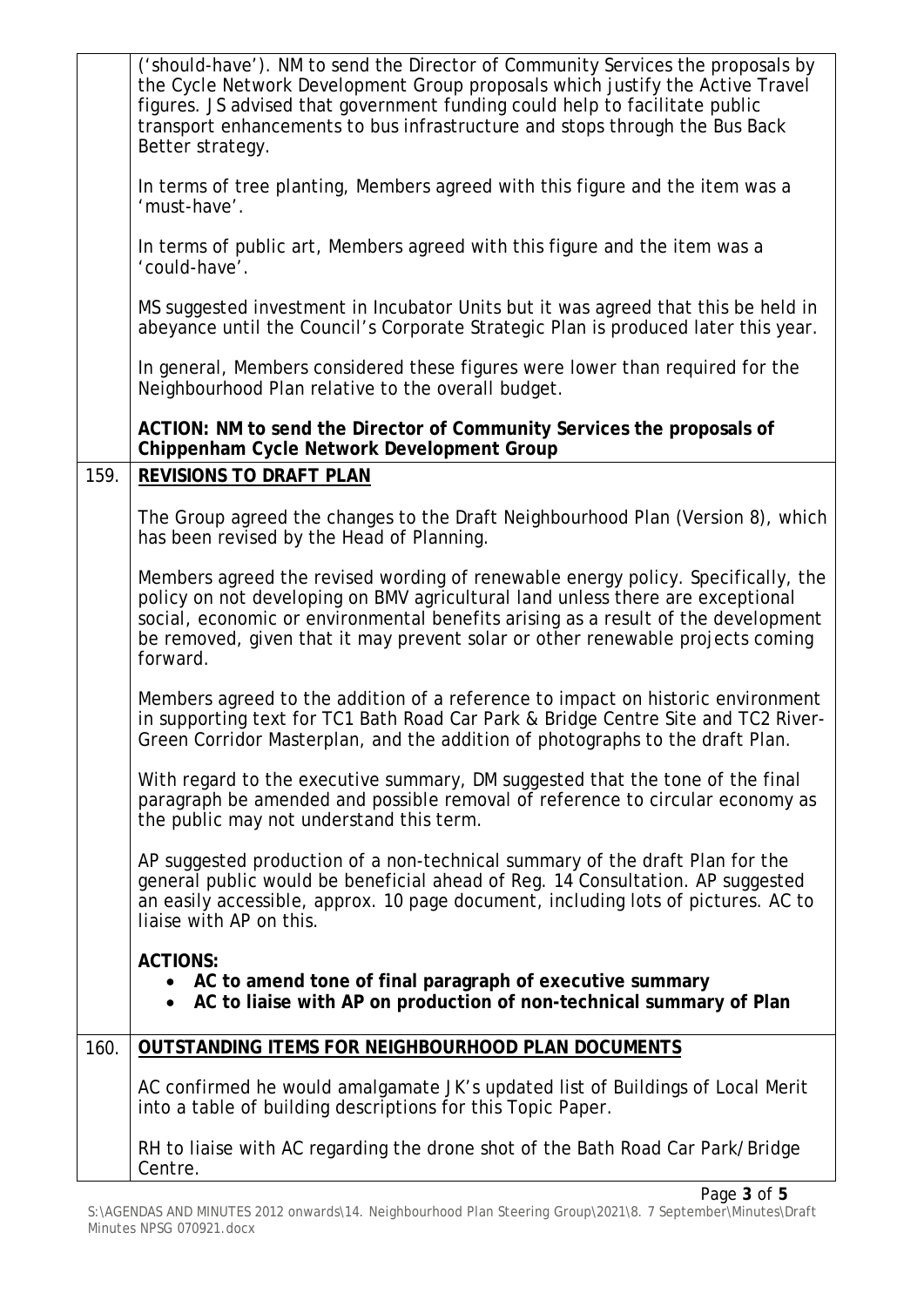|      | ('should-have'). NM to send the Director of Community Services the proposals by<br>the Cycle Network Development Group proposals which justify the Active Travel<br>figures. JS advised that government funding could help to facilitate public<br>transport enhancements to bus infrastructure and stops through the Bus Back<br>Better strategy.    |
|------|-------------------------------------------------------------------------------------------------------------------------------------------------------------------------------------------------------------------------------------------------------------------------------------------------------------------------------------------------------|
|      | In terms of tree planting, Members agreed with this figure and the item was a<br>'must-have'.                                                                                                                                                                                                                                                         |
|      | In terms of public art, Members agreed with this figure and the item was a<br>'could-have'.                                                                                                                                                                                                                                                           |
|      | MS suggested investment in Incubator Units but it was agreed that this be held in<br>abeyance until the Council's Corporate Strategic Plan is produced later this year.                                                                                                                                                                               |
|      | In general, Members considered these figures were lower than required for the<br>Neighbourhood Plan relative to the overall budget.                                                                                                                                                                                                                   |
|      | ACTION: NM to send the Director of Community Services the proposals of<br>Chippenham Cycle Network Development Group                                                                                                                                                                                                                                  |
| 159. | <b>REVISIONS TO DRAFT PLAN</b>                                                                                                                                                                                                                                                                                                                        |
|      | The Group agreed the changes to the Draft Neighbourhood Plan (Version 8), which<br>has been revised by the Head of Planning.                                                                                                                                                                                                                          |
|      | Members agreed the revised wording of renewable energy policy. Specifically, the<br>policy on not developing on BMV agricultural land unless there are exceptional<br>social, economic or environmental benefits arising as a result of the development<br>be removed, given that it may prevent solar or other renewable projects coming<br>forward. |
|      | Members agreed to the addition of a reference to impact on historic environment<br>in supporting text for TC1 Bath Road Car Park & Bridge Centre Site and TC2 River-<br>Green Corridor Masterplan, and the addition of photographs to the draft Plan.                                                                                                 |
|      | With regard to the executive summary, DM suggested that the tone of the final<br>paragraph be amended and possible removal of reference to circular economy as<br>the public may not understand this term.                                                                                                                                            |
|      | AP suggested production of a non-technical summary of the draft Plan for the<br>general public would be beneficial ahead of Reg. 14 Consultation. AP suggested<br>an easily accessible, approx. 10 page document, including lots of pictures. AC to<br>liaise with AP on this.                                                                        |
|      | <b>ACTIONS:</b><br>• AC to amend tone of final paragraph of executive summary<br>• AC to liaise with AP on production of non-technical summary of Plan                                                                                                                                                                                                |
| 160. | OUTSTANDING ITEMS FOR NEIGHBOURHOOD PLAN DOCUMENTS                                                                                                                                                                                                                                                                                                    |
|      | AC confirmed he would amalgamate JK's updated list of Buildings of Local Merit<br>into a table of building descriptions for this Topic Paper.                                                                                                                                                                                                         |
|      | RH to liaise with AC regarding the drone shot of the Bath Road Car Park/Bridge<br>Centre.                                                                                                                                                                                                                                                             |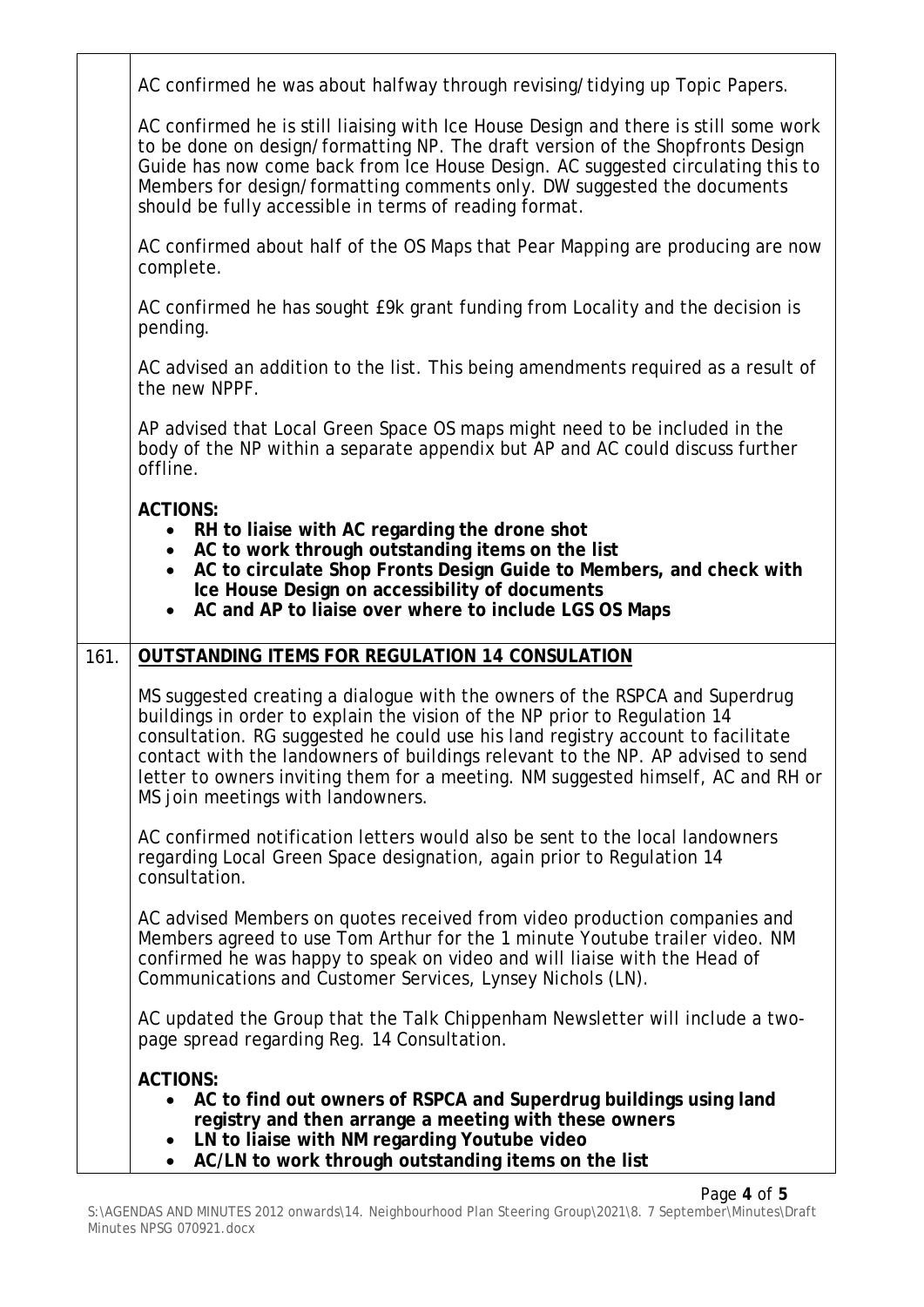|      | AC confirmed he was about halfway through revising/tidying up Topic Papers.                                                                                                                                                                                                                                                                                                                                                                             |
|------|---------------------------------------------------------------------------------------------------------------------------------------------------------------------------------------------------------------------------------------------------------------------------------------------------------------------------------------------------------------------------------------------------------------------------------------------------------|
|      | AC confirmed he is still liaising with Ice House Design and there is still some work<br>to be done on design/formatting NP. The draft version of the Shopfronts Design<br>Guide has now come back from Ice House Design. AC suggested circulating this to<br>Members for design/formatting comments only. DW suggested the documents<br>should be fully accessible in terms of reading format.                                                          |
|      | AC confirmed about half of the OS Maps that Pear Mapping are producing are now<br>complete.                                                                                                                                                                                                                                                                                                                                                             |
|      | AC confirmed he has sought E9k grant funding from Locality and the decision is<br>pending.                                                                                                                                                                                                                                                                                                                                                              |
|      | AC advised an addition to the list. This being amendments required as a result of<br>the new NPPF.                                                                                                                                                                                                                                                                                                                                                      |
|      | AP advised that Local Green Space OS maps might need to be included in the<br>body of the NP within a separate appendix but AP and AC could discuss further<br>offline.                                                                                                                                                                                                                                                                                 |
|      | <b>ACTIONS:</b><br>RH to liaise with AC regarding the drone shot<br>AC to work through outstanding items on the list<br>AC to circulate Shop Fronts Design Guide to Members, and check with<br>Ice House Design on accessibility of documents<br>AC and AP to liaise over where to include LGS OS Maps                                                                                                                                                  |
| 161. | <b>OUTSTANDING ITEMS FOR REGULATION 14 CONSULATION</b>                                                                                                                                                                                                                                                                                                                                                                                                  |
|      | MS suggested creating a dialogue with the owners of the RSPCA and Superdrug<br>buildings in order to explain the vision of the NP prior to Regulation 14<br>consultation. RG suggested he could use his land registry account to facilitate<br>contact with the landowners of buildings relevant to the NP. AP advised to send<br>letter to owners inviting them for a meeting. NM suggested himself, AC and RH or<br>MS join meetings with landowners. |
|      | AC confirmed notification letters would also be sent to the local landowners<br>regarding Local Green Space designation, again prior to Regulation 14<br>consultation.                                                                                                                                                                                                                                                                                  |
|      | AC advised Members on quotes received from video production companies and<br>Members agreed to use Tom Arthur for the 1 minute Youtube trailer video. NM<br>confirmed he was happy to speak on video and will liaise with the Head of<br>Communications and Customer Services, Lynsey Nichols (LN).                                                                                                                                                     |
|      | AC updated the Group that the Talk Chippenham Newsletter will include a two-<br>page spread regarding Reg. 14 Consultation.                                                                                                                                                                                                                                                                                                                             |
|      | <b>ACTIONS:</b><br>AC to find out owners of RSPCA and Superdrug buildings using land<br>registry and then arrange a meeting with these owners<br>LN to liaise with NM regarding Youtube video<br>AC/LN to work through outstanding items on the list<br>$\bullet$                                                                                                                                                                                       |